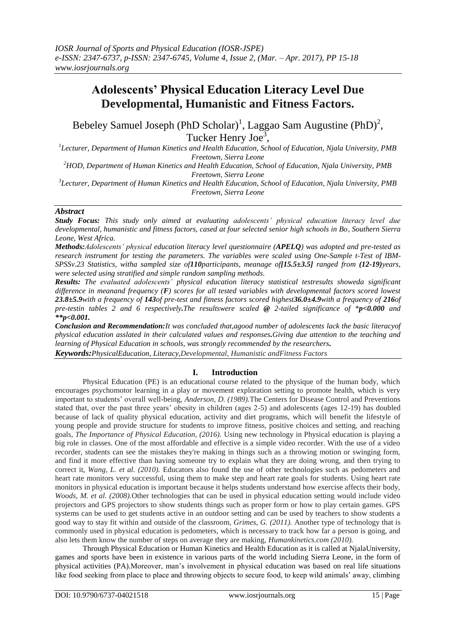# **Adolescents' Physical Education Literacy Level Due Developmental, Humanistic and Fitness Factors.**

Bebeley Samuel Joseph (PhD Scholar)<sup>1</sup>, Laggao Sam Augustine (PhD)<sup>2</sup>, Tucker Henry Joe<sup>3</sup>,

*1 Lecturer, Department of Human Kinetics and Health Education, School of Education, Njala University, PMB Freetown, Sierra Leone*

*<sup>2</sup>HOD, Department of Human Kinetics and Health Education, School of Education, Njala University, PMB Freetown, Sierra Leone*

*3 Lecturer, Department of Human Kinetics and Health Education, School of Education, Njala University, PMB Freetown, Sierra Leone*

## *Abstract*

*Study Focus: This study only aimed at evaluating adolescents' physical education literacy level due developmental, humanistic and fitness factors, cased at four selected senior high schools in Bo, Southern Sierra Leone, West Africa.*

*Methods:Adolescents' physical education literacy level questionnaire (APELQ) was adopted and pre-tested as research instrument for testing the parameters. The variables were scaled using One-Sample t-Test of IBM-SPSSv.23 Statistics, witha sampled size of110participants, meanage of[15.5±3.5] ranged from (12-19)years, were selected using stratified and simple random sampling methods.*

*Results: The evaluated adolescents' physical education literacy statistical testresults showeda significant difference in meanand frequency (F) scores for all tested variables with developmental factors scored lowest 23.8±5.9with a frequency of 143of pre-test and fitness factors scored highest36.0±4.9with a frequency of 216of pre-testin tables 2 and 6 respectively.The resultswere scaled @ 2-tailed significance of \*p<0.000 and \*\*p<0.001.*

*Conclusion and Recommendation:It was concluded that,agood number of adolescents lack the basic literacyof physical education asslated in their calculated values and responses.Giving due attention to the teaching and learning of Physical Education in schools, was strongly recommended by the researchers. Keywords:PhysicalEducation, Literacy,Developmental, Humanistic andFitness Factors*

## **I. Introduction**

Physical Education (PE) is an educational course related to the physique of the human body, which encourages psychomotor learning in a play or movement exploration setting to promote health, which is very important to students' overall well-being, *Anderson, D. (1989).*The Centers for Disease Control and Preventions stated that, over the past three years' obesity in children (ages 2-5) and adolescents (ages 12-19) has doubled because of lack of quality physical education, activity and diet programs, which will benefit the lifestyle of young people and provide structure for students to improve fitness, positive choices and setting, and reaching goals, *The Importance of Physical Education, (2016).* Using new technology in Physical education is playing a big role in classes. One of the most affordable and effective is a simple video recorder. With the use of a video recorder, students can see the mistakes they're making in things such as a throwing motion or swinging form, and find it more effective than having someone try to explain what they are doing wrong, and then trying to correct it, *Wang, L. et al. (2010).* Educators also found the use of other technologies such as pedometers and heart rate monitors very successful, using them to make step and heart rate goals for students. Using heart rate monitors in physical education is important because it helps students understand how exercise affects their body, *Woods, M. et al. (2008).*Other technologies that can be used in physical education setting would include video projectors and GPS projectors to show students things such as proper form or how to play certain games. GPS systems can be used to get students active in an outdoor setting and can be used by teachers to show students a good way to stay fit within and outside of the classroom, *Grimes, G. (2011).* Another type of technology that is commonly used in physical education is pedometers, which is necessary to track how far a person is going, and also lets them know the number of steps on average they are making, *Humankinetics.com (2010).*

Through Physical Education or Human Kinetics and Health Education as it is called at NjalaUniversity, games and sports have been in existence in various parts of the world including Sierra Leone, in the form of physical activities (PA).Moreover, man's involvement in physical education was based on real life situations like food seeking from place to place and throwing objects to secure food, to keep wild animals' away, climbing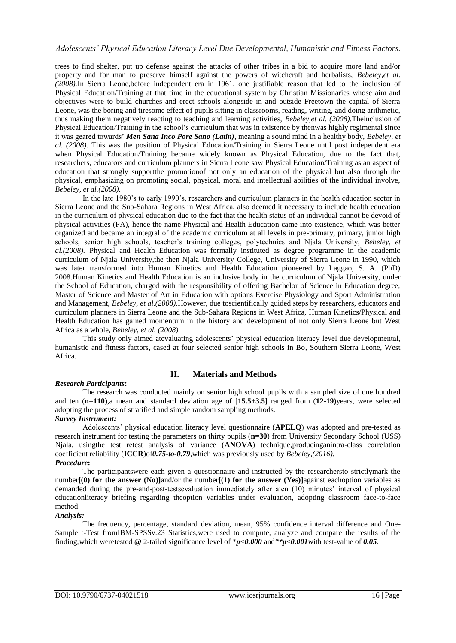trees to find shelter, put up defense against the attacks of other tribes in a bid to acquire more land and/or property and for man to preserve himself against the powers of witchcraft and herbalists, *Bebeley,et al. (2008).*In Sierra Leone,before independent era in 1961, one justifiable reason that led to the inclusion of Physical Education/Training at that time in the educational system by Christian Missionaries whose aim and objectives were to build churches and erect schools alongside in and outside Freetown the capital of Sierra Leone, was the boring and tiresome effect of pupils sitting in classrooms, reading, writing, and doing arithmetic, thus making them negatively reacting to teaching and learning activities, *Bebeley,et al. (2008).*Theinclusion of Physical Education/Training in the school's curriculum that was in existence by thenwas highly regimental since it was geared towards' *Men Sana Inco Pore Sano (Latin)*, meaning a sound mind in a healthy body, *Bebeley, et al. (2008).* This was the position of Physical Education/Training in Sierra Leone until post independent era when Physical Education/Training became widely known as Physical Education, due to the fact that, researchers, educators and curriculum planners in Sierra Leone saw Physical Education/Training as an aspect of education that strongly supportthe promotionof not only an education of the physical but also through the physical, emphasizing on promoting social, physical, moral and intellectual abilities of the individual involve, *Bebeley, et al.(2008).*

In the late 1980's to early 1990's, researchers and curriculum planners in the health education sector in Sierra Leone and the Sub-Sahara Regions in West Africa, also deemed it necessary to include health education in the curriculum of physical education due to the fact that the health status of an individual cannot be devoid of physical activities (PA), hence the name Physical and Health Education came into existence, which was better organized and became an integral of the academic curriculum at all levels in pre-primary, primary, junior high schools, senior high schools, teacher's training colleges, polytechnics and Njala University, *Bebeley, et al.(2008).* Physical and Health Education was formally instituted as degree programme in the academic curriculum of Njala University,the then Njala University College, University of Sierra Leone in 1990, which was later transformed into Human Kinetics and Health Education pioneered by Laggao, S. A. (PhD) 2008.Human Kinetics and Health Education is an inclusive body in the curriculum of Njala University, under the School of Education, charged with the responsibility of offering Bachelor of Science in Education degree, Master of Science and Master of Art in Education with options Exercise Physiology and Sport Administration and Management, *Bebeley, et al.(2008).*However, due toscientifically guided steps by researchers, educators and curriculum planners in Sierra Leone and the Sub-Sahara Regions in West Africa, Human Kinetics/Physical and Health Education has gained momentum in the history and development of not only Sierra Leone but West Africa as a whole, *Bebeley, et al. (2008).*

This study only aimed atevaluating adolescents' physical education literacy level due developmental, humanistic and fitness factors, cased at four selected senior high schools in Bo, Southern Sierra Leone, West Africa.

# **II. Materials and Methods**

## *Research Participants***:**

The research was conducted mainly on senior high school pupils with a sampled size of one hundred and ten (**n=110**),a mean and standard deviation age of [**15.5±3.5]** ranged from (**12-19)**years, were selected adopting the process of stratified and simple random sampling methods.

## *Survey Instrument:*

Adolescents' physical education literacy level questionnaire (**APELQ**) was adopted and pre-tested as research instrument for testing the parameters on thirty pupils (**n=30**) from University Secondary School (USS) Njala, usingthe test retest analysis of variance (**ANOVA**) technique,producinganintra-class correlation coefficient reliability (**ICCR**)of*0.75-to-0.79,*which was previously used by *Bebeley,(2016).*

## *Procedure***:**

The participantswere each given a questionnaire and instructed by the researchersto strictlymark the number<sub>[</sub>(0) for the answer (No)]and/or the number<sub>[(1)</sub> for the answer (Yes)]against eachoption variables as demanded during the pre-and-post-testsevaluation immediately after aten (10) minutes' interval of physical educationliteracy briefing regarding theoption variables under evaluation, adopting classroom face-to-face method.

## *Analysis:*

The frequency, percentage, standard deviation, mean, 95% confidence interval difference and One-Sample t-Test fromIBM-SPSSv.23 Statistics,were used to compute, analyze and compare the results of the finding,which weretested **@** 2-tailed significance level of \**p<0.000* and*\*\*p<0.001*with test-value of *0.05*.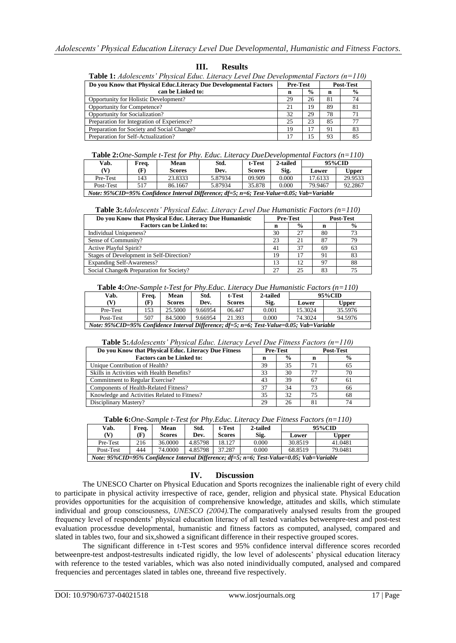| <b>Table 1:</b> Adolescents' Physical Educ. Literacy Level Due Developmental Factors $(n=110)$ |                 |               |                  |                |  |  |  |  |
|------------------------------------------------------------------------------------------------|-----------------|---------------|------------------|----------------|--|--|--|--|
| Do you Know that Physical Educ. Literacy Due Developmental Factors                             | <b>Pre-Test</b> |               | <b>Post-Test</b> |                |  |  |  |  |
| can be Linked to:                                                                              | n               | $\frac{6}{9}$ | n                | $\frac{6}{9}$  |  |  |  |  |
| Opportunity for Holistic Development?                                                          | 29              | 26            | 81               | 74             |  |  |  |  |
| Opportunity for Competence?                                                                    | 21              | 19            | 89               | 81             |  |  |  |  |
| Opportunity for Socialization?                                                                 | 32              | 29            | 78               | 7 <sub>1</sub> |  |  |  |  |
| Preparation for Integration of Experience?                                                     | 25              | 23            | 85               | 77             |  |  |  |  |
| Preparation for Society and Social Change?                                                     | 19              | 17            | 91               | 83             |  |  |  |  |
| Preparation for Self-Actualization?                                                            | 17              |               | 93               | 85             |  |  |  |  |

# **III. Results**

**Table 2:***One-Sample t-Test for Phy. Educ. Literacy DueDevelopmental Factors (n=110)* 

| Vab.                                                                                      | Freq. | Mean          | Std.    | t-Test        | 2-tailed |         | 95%CID  |
|-------------------------------------------------------------------------------------------|-------|---------------|---------|---------------|----------|---------|---------|
| W                                                                                         | (F)   | <b>Scores</b> | Dev.    | <b>Scores</b> | Sig.     | Lower   | Upper   |
| Pre-Test                                                                                  | 143   | 23.8333       | 5.87934 | 09.909        | 0.000    | 17.6133 | 29.9533 |
| Post-Test                                                                                 | 517   | 86.1667       | 5.87934 | 35.878        | 0.000    | 79.9467 | 92.2867 |
| Note: 95%CID=95% Confidence Interval Difference; df=5; n=6; Test-Value=0.05; Vab=Variable |       |               |         |               |          |         |         |

| <b>Table 3:</b> Adolescents' Physical Educ. Literacy Level Due Humanistic Factors (n=110) |  |  |  |
|-------------------------------------------------------------------------------------------|--|--|--|
|                                                                                           |  |  |  |

| Do you Know that Physical Educ. Literacy Due Humanistic | <b>Pre-Test</b> |               | <b>Post-Test</b> |               |  |
|---------------------------------------------------------|-----------------|---------------|------------------|---------------|--|
| <b>Factors can be Linked to:</b>                        | n               | $\frac{0}{0}$ | n                | $\frac{6}{9}$ |  |
| Individual Uniqueness?                                  | 30              | 27            | 80               | 73            |  |
| Sense of Community?                                     | 23              | 21            | 87               | 79            |  |
| Active Playful Spirit?                                  | 41              | 37            | 69               | 63            |  |
| Stages of Development in Self-Direction?                | 19              | 17            | 91               | 83            |  |
| <b>Expanding Self-Awareness?</b>                        | 13              | 12            | 97               | 88            |  |
| Social Change & Preparation for Society?                | 27              | 25            | 83               | 75            |  |

**Table 4:***One-Sample t-Test for Phy.Educ. Literacy Due Humanistic Factors (n=110)*

| Vab.                                                                                      | Freq. | <b>Mean</b>   | Std.    | t-Test        | 2-tailed | 95%CID  |              |
|-------------------------------------------------------------------------------------------|-------|---------------|---------|---------------|----------|---------|--------------|
| (V)                                                                                       | (F)   | <b>Scores</b> | Dev.    | <b>Scores</b> | Sig.     | Lower   | <b>Upper</b> |
| Pre-Test                                                                                  | 153   | 25.5000       | 9.66954 | 06.447        | 0.001    | 15.3024 | 35.5976      |
| Post-Test                                                                                 | 507   | 84.5000       | 9.66954 | 21.393        | 0.000    | 74.3024 | 94.5976      |
| Note: 95%CID=95% Confidence Interval Difference; df=5; n=6; Test-Value=0.05; Vab=Variable |       |               |         |               |          |         |              |

| Do you Know that Physical Educ. Literacy Due Fitness | <b>Pre-Test</b> |                | <b>Post-Test</b> |               |  |
|------------------------------------------------------|-----------------|----------------|------------------|---------------|--|
| <b>Factors can be Linked to:</b>                     | n               | $\frac{6}{10}$ | n                | $\frac{6}{9}$ |  |
| Unique Contribution of Health?                       | 39              | 35             | 71               | 65            |  |
| Skills in Activities with Health Benefits?           | 33              | 30             | 77               | 70            |  |
| Commitment to Regular Exercise?                      | 43              | 39             | 67               | 61            |  |
| Components of Health-Related Fitness?                | 37              | 34             | 73               | 66            |  |
| Knowledge and Activities Related to Fitness?         | 35              | 32             | 75               | 68            |  |
| Disciplinary Mastery?                                | 29              | 26             | 81               | 74            |  |

**Table 6:***One-Sample t-Test for Phy.Educ. Literacy Due Fitness Factors (n=110)*

| Vab.                                                                                      | Freq. | Mean          | Std.    | t-Test        | 2-tailed | 95%CID  |              |
|-------------------------------------------------------------------------------------------|-------|---------------|---------|---------------|----------|---------|--------------|
|                                                                                           | (F)   | <b>Scores</b> | Dev.    | <b>Scores</b> | Sig.     | Lower   | <b>Upper</b> |
| Pre-Test                                                                                  | 216   | 36.0000       | 4.85798 | 18.127        | 0.000    | 30.8519 | 41.0481      |
| Post-Test                                                                                 | 444   | 74.0000       | 4.85798 | 37.287        | 0.000    | 68.8519 | 79.0481      |
| Note: 95%CID=95% Confidence Interval Difference; df=5; n=6; Test-Value=0.05; Vab=Variable |       |               |         |               |          |         |              |

### **IV. Discussion**

The UNESCO Charter on Physical Education and Sports recognizes the inalienable right of every child to participate in physical activity irrespective of race, gender, religion and physical state. Physical Education provides opportunities for the acquisition of comprehensive knowledge, attitudes and skills, which stimulate individual and group consciousness, *UNESCO (2004).*The comparatively analysed results from the grouped frequency level of respondents' physical education literacy of all tested variables betweenpre-test and post-test evaluation processdue developmental, humanistic and fitness factors as computed, analysed, compared and slated in tables two, four and six,showed a significant difference in their respective grouped scores.

The significant difference in t-Test scores and 95% confidence interval difference scores recorded betweenpre-test andpost-testresults indicated rigidly, the low level of adolescents' physical education literacy with reference to the tested variables, which was also noted inindividually computed, analysed and compared frequencies and percentages slated in tables one, threeand five respectively.